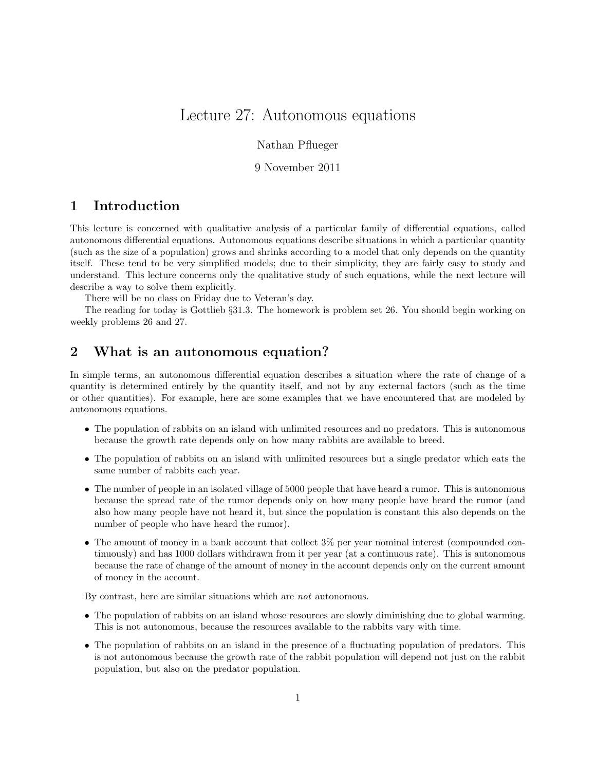# Lecture 27: Autonomous equations

#### Nathan Pflueger

#### 9 November 2011

### 1 Introduction

This lecture is concerned with qualitative analysis of a particular family of differential equations, called autonomous differential equations. Autonomous equations describe situations in which a particular quantity (such as the size of a population) grows and shrinks according to a model that only depends on the quantity itself. These tend to be very simplified models; due to their simplicity, they are fairly easy to study and understand. This lecture concerns only the qualitative study of such equations, while the next lecture will describe a way to solve them explicitly.

There will be no class on Friday due to Veteran's day.

The reading for today is Gottlieb §31.3. The homework is problem set 26. You should begin working on weekly problems 26 and 27.

## 2 What is an autonomous equation?

In simple terms, an autonomous differential equation describes a situation where the rate of change of a quantity is determined entirely by the quantity itself, and not by any external factors (such as the time or other quantities). For example, here are some examples that we have encountered that are modeled by autonomous equations.

- The population of rabbits on an island with unlimited resources and no predators. This is autonomous because the growth rate depends only on how many rabbits are available to breed.
- The population of rabbits on an island with unlimited resources but a single predator which eats the same number of rabbits each year.
- The number of people in an isolated village of 5000 people that have heard a rumor. This is autonomous because the spread rate of the rumor depends only on how many people have heard the rumor (and also how many people have not heard it, but since the population is constant this also depends on the number of people who have heard the rumor).
- The amount of money in a bank account that collect 3% per year nominal interest (compounded continuously) and has 1000 dollars withdrawn from it per year (at a continuous rate). This is autonomous because the rate of change of the amount of money in the account depends only on the current amount of money in the account.

By contrast, here are similar situations which are not autonomous.

- The population of rabbits on an island whose resources are slowly diminishing due to global warming. This is not autonomous, because the resources available to the rabbits vary with time.
- The population of rabbits on an island in the presence of a fluctuating population of predators. This is not autonomous because the growth rate of the rabbit population will depend not just on the rabbit population, but also on the predator population.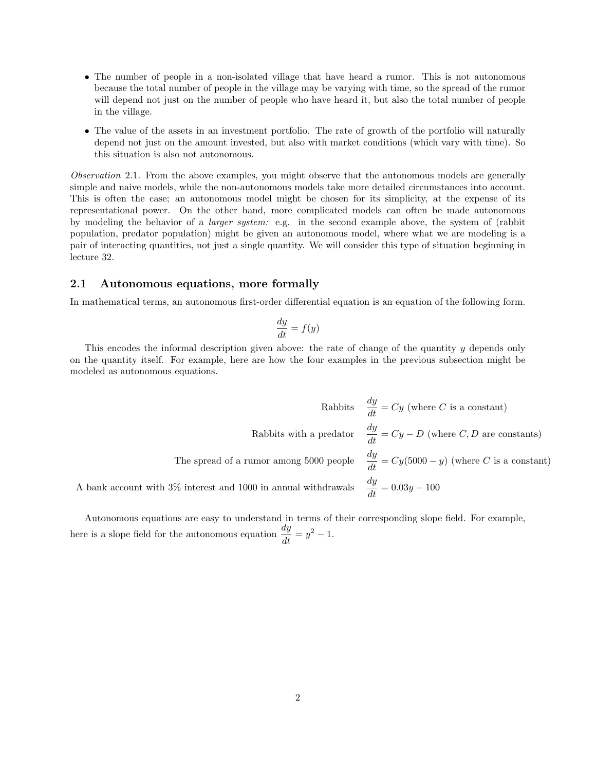- The number of people in a non-isolated village that have heard a rumor. This is not autonomous because the total number of people in the village may be varying with time, so the spread of the rumor will depend not just on the number of people who have heard it, but also the total number of people in the village.
- The value of the assets in an investment portfolio. The rate of growth of the portfolio will naturally depend not just on the amount invested, but also with market conditions (which vary with time). So this situation is also not autonomous.

Observation 2.1. From the above examples, you might observe that the autonomous models are generally simple and naive models, while the non-autonomous models take more detailed circumstances into account. This is often the case; an autonomous model might be chosen for its simplicity, at the expense of its representational power. On the other hand, more complicated models can often be made autonomous by modeling the behavior of a larger system: e.g. in the second example above, the system of (rabbit population, predator population) might be given an autonomous model, where what we are modeling is a pair of interacting quantities, not just a single quantity. We will consider this type of situation beginning in lecture 32.

#### 2.1 Autonomous equations, more formally

In mathematical terms, an autonomous first-order differential equation is an equation of the following form.

$$
\frac{dy}{dt} = f(y)
$$

This encodes the informal description given above: the rate of change of the quantity y depends only on the quantity itself. For example, here are how the four examples in the previous subsection might be modeled as autonomous equations.

Rabbits 
$$
\frac{dy}{dt} = Cy
$$
 (where *C* is a constant)

\nRabbits with a predator  $\frac{dy}{dt} = Cy - D$  (where *C*, *D* are constants)

\nThe spread of a rumor among 5000 people  $\frac{dy}{dt} = Cy(5000 - y)$  (where *C* is a constant)

\nA bank account with 3% interest and 1000 in annual withdrawals  $\frac{dy}{dt} = 0.03y - 100$ 

Autonomous equations are easy to understand in terms of their corresponding slope field. For example, here is a slope field for the autonomous equation  $\frac{dy}{dt} = y^2 - 1$ .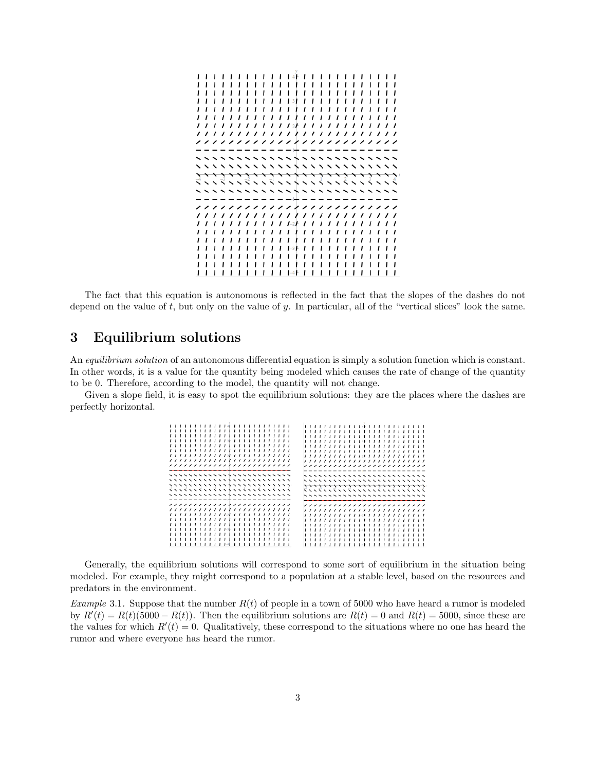

The fact that this equation is autonomous is reflected in the fact that the slopes of the dashes do not depend on the value of  $t$ , but only on the value of  $y$ . In particular, all of the "vertical slices" look the same.

## 3 Equilibrium solutions

An *equilibrium solution* of an autonomous differential equation is simply a solution function which is constant. In other words, it is a value for the quantity being modeled which causes the rate of change of the quantity to be 0. Therefore, according to the model, the quantity will not change.

Given a slope field, it is easy to spot the equilibrium solutions: they are the places where the dashes are perfectly horizontal.

| ,,,,,,,,,,,,,,,,,,,,,,,,<br>,,,,,,,,,,,,,,,,,,,,,,,,,<br>,,,,,,,,,,,,,,,,,,,,,,,,,<br>,,,,,,,,,,,,,,,,,,,,,,,,,<br><i>,,,,,,,,,,,,,,,,,,,,,,,,</i> |  | , , , , , , , , , , , , , ,<br>,,,,,,,,,,,,,,,,,,,,,,<br>,,,,,,,,,,,,,,,,,,,,,,,<br>------------------------ |  |  |  |  |  |  |  |  |  |  |  |  |  |  |  | , , , , , , , , , , , , , , , ,<br>, , , , , , , , , , , , , , , , , , ,<br>,,,,,,,,,,,,,,,,,,,,,,,,,<br>--------------------------                                                                                         |  |  |  |  |             |  | .<br>,,,, |  |
|----------------------------------------------------------------------------------------------------------------------------------------------------|--|--------------------------------------------------------------------------------------------------------------|--|--|--|--|--|--|--|--|--|--|--|--|--|--|--|-----------------------------------------------------------------------------------------------------------------------------------------------------------------------------------------------------------------------------|--|--|--|--|-------------|--|-----------|--|
| ---------------------------<br>,,,,,,,,,,,,,,,,,,,,,,,,,,,,<br>,,,,,,,,,,,,,,,,,,,,,,,,,,,,<br><b>ヾヽヽヾヽヽヾヾヽヽヾヽヽヽヽヽヽヽヽヽヽヽヽヽヽヽヽヽヽ</b>                |  |                                                                                                              |  |  |  |  |  |  |  |  |  |  |  |  |  |  |  | ---------------------------<br><b>&gt;&gt;&gt;&gt;&gt;&gt;&gt;&gt;&gt;&gt;&gt;&gt;&gt;&gt;&gt;&gt;&gt;&gt;&gt;&gt;&gt;&gt;&gt;&gt;&gt;&gt;&gt;&gt;&gt;&gt;</b><br>,,,,,,,,,,,,,,,,,,,,,,,,,,,,<br>ていいていいでいいていいもいいくいいくいいくいいう |  |  |  |  |             |  |           |  |
| ,,,,,,,,,,,,,,,,,,,,,,,,,<br>,,,,,,,,,,,,,,,,,,,,,,,,,<br>,,,,,,,,,,,,,,,,,,,,,,,,,                                                                |  | ,,,,,,,,,,,,,,,,,,,,,,,<br>, , , , , , , , , , , , ,                                                         |  |  |  |  |  |  |  |  |  |  |  |  |  |  |  | ,,,,,,,,,,,,,,,,,,,,,,,,,<br>,,,,,,,,,,,,,,,,,,,,,,,,<br>, , , , , , , , , , , , , , , , , , , ,<br>, , , , , , , , , , , , , , , , , , , ,<br>, , , , , , , , , , , , , , , ,                                              |  |  |  |  | , , , , , , |  | ,,,,<br>. |  |

Generally, the equilibrium solutions will correspond to some sort of equilibrium in the situation being modeled. For example, they might correspond to a population at a stable level, based on the resources and predators in the environment.

Example 3.1. Suppose that the number  $R(t)$  of people in a town of 5000 who have heard a rumor is modeled by  $R'(t) = R(t)(5000 - R(t))$ . Then the equilibrium solutions are  $R(t) = 0$  and  $R(t) = 5000$ , since these are the values for which  $R'(t) = 0$ . Qualitatively, these correspond to the situations where no one has heard the rumor and where everyone has heard the rumor.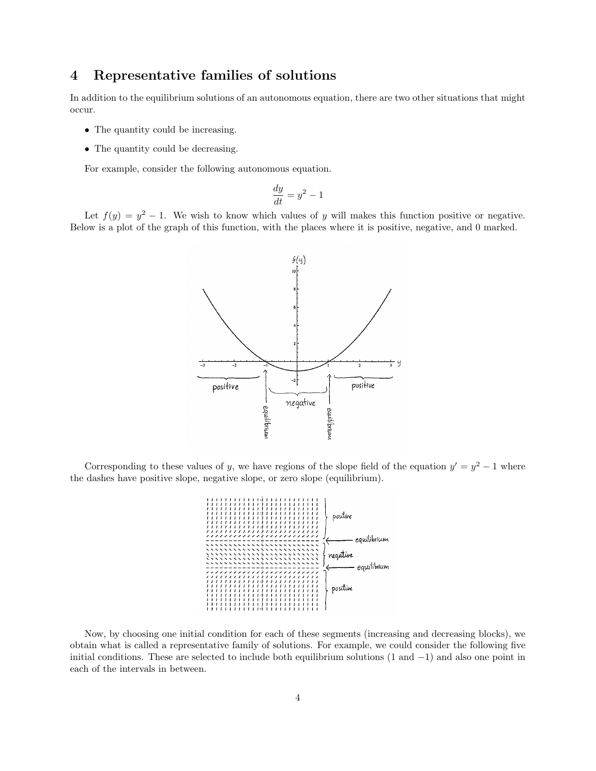## 4 Representative families of solutions

In addition to the equilibrium solutions of an autonomous equation, there are two other situations that might occur.

- The quantity could be increasing.
- The quantity could be decreasing.

For example, consider the following autonomous equation.

$$
\frac{dy}{dt} = y^2 - 1
$$

Let  $f(y) = y^2 - 1$ . We wish to know which values of y will makes this function positive or negative. Below is a plot of the graph of this function, with the places where it is positive, negative, and 0 marked.



Corresponding to these values of y, we have regions of the slope field of the equation  $y' = y^2 - 1$  where the dashes have positive slope, negative slope, or zero slope (equilibrium).



Now, by choosing one initial condition for each of these segments (increasing and decreasing blocks), we obtain what is called a representative family of solutions. For example, we could consider the following five initial conditions. These are selected to include both equilibrium solutions (1 and −1) and also one point in each of the intervals in between.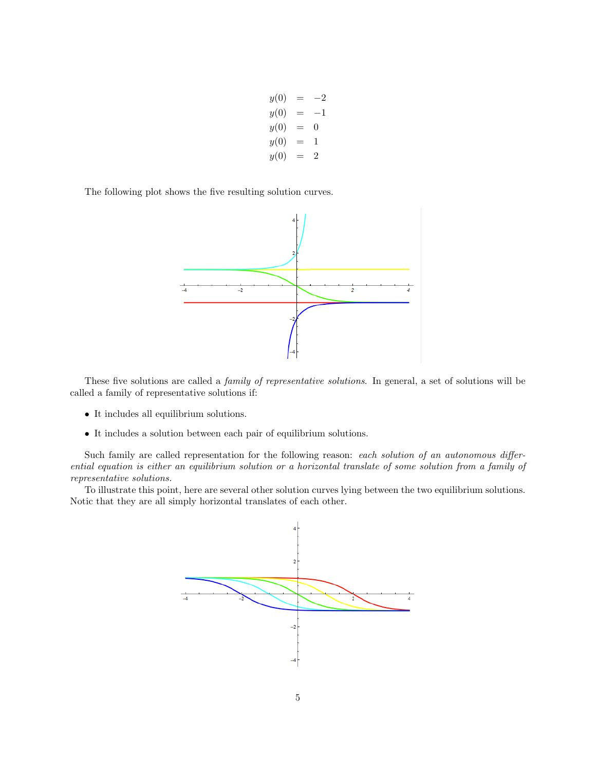$y(0) = -2$  $y(0) = -1$  $y(0) = 0$  $y(0) = 1$  $y(0) = 2$ 

The following plot shows the five resulting solution curves.



These five solutions are called a family of representative solutions. In general, a set of solutions will be called a family of representative solutions if:

- It includes all equilibrium solutions.
- $\bullet\,$  It includes a solution between each pair of equilibrium solutions.

Such family are called representation for the following reason: each solution of an autonomous differential equation is either an equilibrium solution or a horizontal translate of some solution from a family of representative solutions.

To illustrate this point, here are several other solution curves lying between the two equilibrium solutions. Notic that they are all simply horizontal translates of each other.

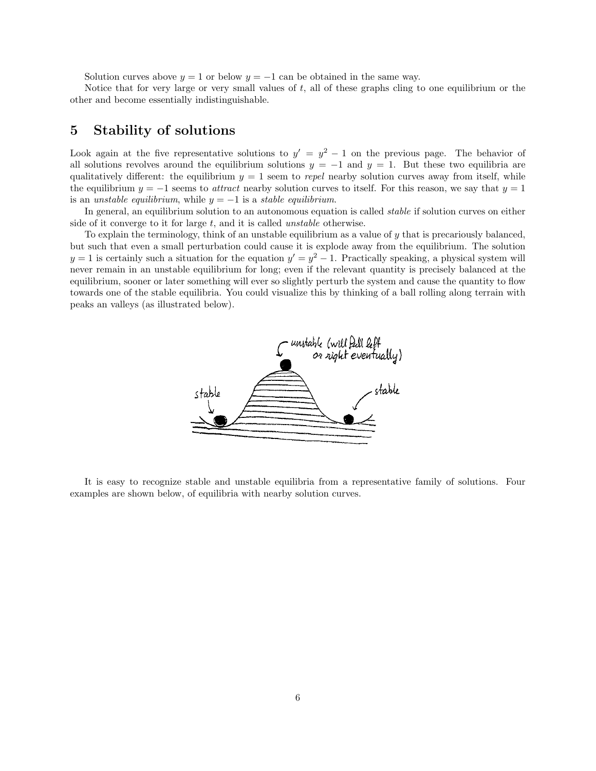Solution curves above  $y = 1$  or below  $y = -1$  can be obtained in the same way.

Notice that for very large or very small values of t, all of these graphs cling to one equilibrium or the other and become essentially indistinguishable.

### 5 Stability of solutions

Look again at the five representative solutions to  $y' = y^2 - 1$  on the previous page. The behavior of all solutions revolves around the equilibrium solutions  $y = -1$  and  $y = 1$ . But these two equilibria are qualitatively different: the equilibrium  $y = 1$  seem to repel nearby solution curves away from itself, while the equilibrium  $y = -1$  seems to *attract* nearby solution curves to itself. For this reason, we say that  $y = 1$ is an unstable equilibrium, while  $y = -1$  is a stable equilibrium.

In general, an equilibrium solution to an autonomous equation is called *stable* if solution curves on either side of it converge to it for large  $t$ , and it is called *unstable* otherwise.

To explain the terminology, think of an unstable equilibrium as a value of  $y$  that is precariously balanced, but such that even a small perturbation could cause it is explode away from the equilibrium. The solution  $y = 1$  is certainly such a situation for the equation  $y' = y^2 - 1$ . Practically speaking, a physical system will never remain in an unstable equilibrium for long; even if the relevant quantity is precisely balanced at the equilibrium, sooner or later something will ever so slightly perturb the system and cause the quantity to flow towards one of the stable equilibria. You could visualize this by thinking of a ball rolling along terrain with peaks an valleys (as illustrated below).



It is easy to recognize stable and unstable equilibria from a representative family of solutions. Four examples are shown below, of equilibria with nearby solution curves.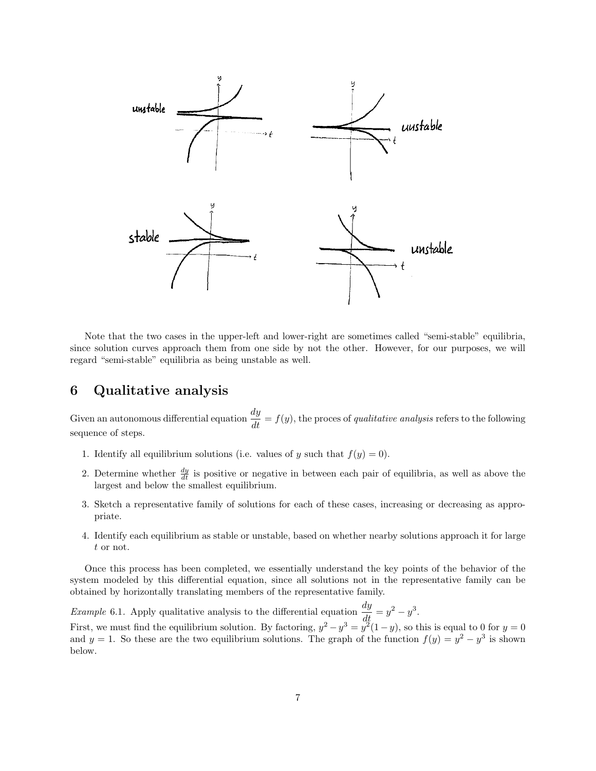

Note that the two cases in the upper-left and lower-right are sometimes called "semi-stable" equilibria, since solution curves approach them from one side by not the other. However, for our purposes, we will regard "semi-stable" equilibria as being unstable as well.

## 6 Qualitative analysis

Given an autonomous differential equation  $\frac{dy}{dt} = f(y)$ , the proces of *qualitative analysis* refers to the following sequence of steps.

- 1. Identify all equilibrium solutions (i.e. values of y such that  $f(y) = 0$ ).
- 2. Determine whether  $\frac{dy}{dt}$  is positive or negative in between each pair of equilibria, as well as above the largest and below the smallest equilibrium.
- 3. Sketch a representative family of solutions for each of these cases, increasing or decreasing as appropriate.
- 4. Identify each equilibrium as stable or unstable, based on whether nearby solutions approach it for large t or not.

Once this process has been completed, we essentially understand the key points of the behavior of the system modeled by this differential equation, since all solutions not in the representative family can be obtained by horizontally translating members of the representative family.

*Example* 6.1. Apply qualitative analysis to the differential equation  $\frac{dy}{dt} = y^2 - y^3$ .

First, we must find the equilibrium solution. By factoring,  $y^2 - y^3 = y^2(1-y)$ , so this is equal to 0 for  $y = 0$ and  $y = 1$ . So these are the two equilibrium solutions. The graph of the function  $f(y) = y^2 - y^3$  is shown below.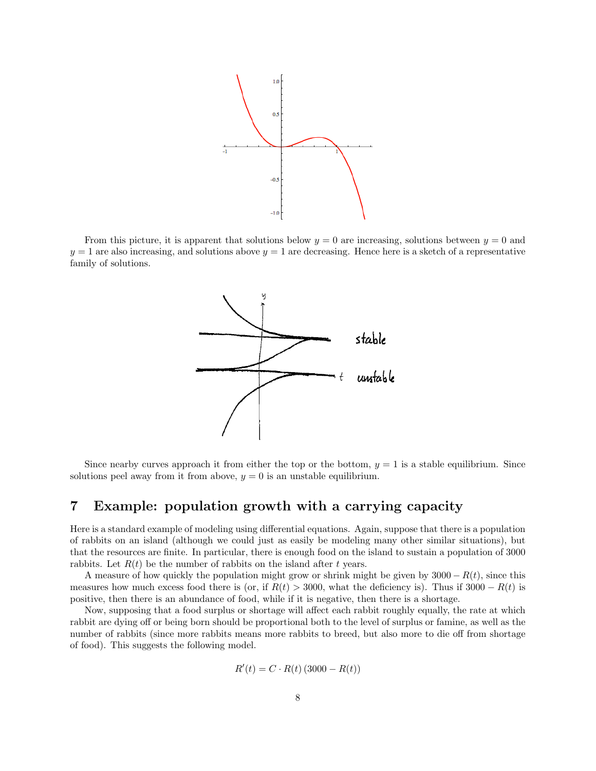

From this picture, it is apparent that solutions below  $y = 0$  are increasing, solutions between  $y = 0$  and  $y = 1$  are also increasing, and solutions above  $y = 1$  are decreasing. Hence here is a sketch of a representative family of solutions.



Since nearby curves approach it from either the top or the bottom,  $y = 1$  is a stable equilibrium. Since solutions peel away from it from above,  $y = 0$  is an unstable equilibrium.

## 7 Example: population growth with a carrying capacity

Here is a standard example of modeling using differential equations. Again, suppose that there is a population of rabbits on an island (although we could just as easily be modeling many other similar situations), but that the resources are finite. In particular, there is enough food on the island to sustain a population of 3000 rabbits. Let  $R(t)$  be the number of rabbits on the island after t years.

A measure of how quickly the population might grow or shrink might be given by  $3000 - R(t)$ , since this measures how much excess food there is (or, if  $R(t) > 3000$ , what the deficiency is). Thus if  $3000 - R(t)$  is positive, then there is an abundance of food, while if it is negative, then there is a shortage.

Now, supposing that a food surplus or shortage will affect each rabbit roughly equally, the rate at which rabbit are dying off or being born should be proportional both to the level of surplus or famine, as well as the number of rabbits (since more rabbits means more rabbits to breed, but also more to die off from shortage of food). This suggests the following model.

$$
R'(t) = C \cdot R(t) \left( 3000 - R(t) \right)
$$